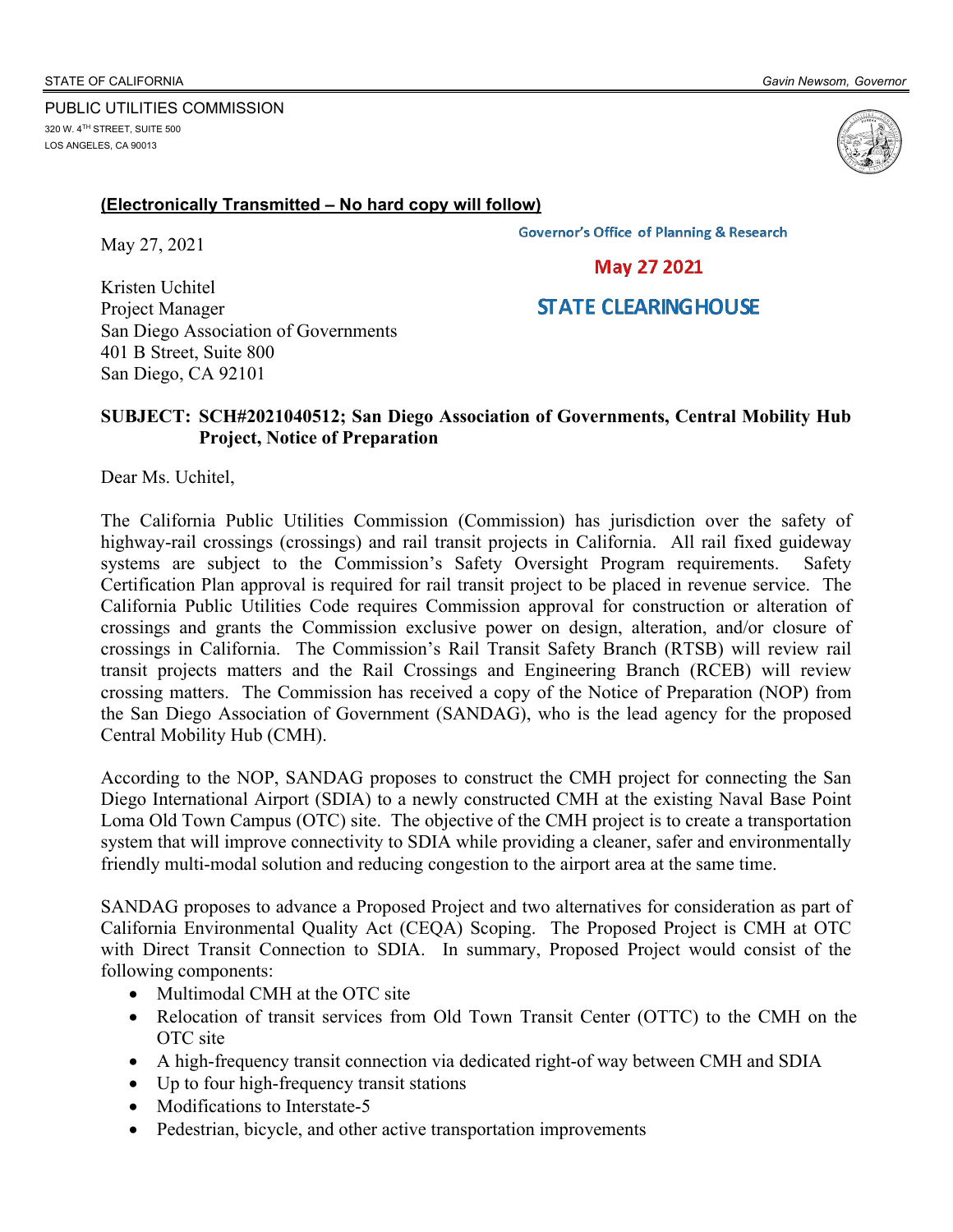

## **(Electronically Transmitted – No hard copy will follow)**

May 27, 2021

**Governor's Office of Planning & Research** 

**May 27 2021** 

## **STATE CLEARINGHOUSE**

Kristen Uchitel Project Manager San Diego Association of Governments 401 B Street, Suite 800 San Diego, CA 92101

## **SUBJECT: SCH#2021040512; San Diego Association of Governments, Central Mobility Hub Project, Notice of Preparation**

Dear Ms. Uchitel,

The California Public Utilities Commission (Commission) has jurisdiction over the safety of highway-rail crossings (crossings) and rail transit projects in California. All rail fixed guideway systems are subject to the Commission's Safety Oversight Program requirements. Safety Certification Plan approval is required for rail transit project to be placed in revenue service. The California Public Utilities Code requires Commission approval for construction or alteration of crossings and grants the Commission exclusive power on design, alteration, and/or closure of crossings in California. The Commission's Rail Transit Safety Branch (RTSB) will review rail transit projects matters and the Rail Crossings and Engineering Branch (RCEB) will review crossing matters. The Commission has received a copy of the Notice of Preparation (NOP) from the San Diego Association of Government (SANDAG), who is the lead agency for the proposed Central Mobility Hub (CMH).

According to the NOP, SANDAG proposes to construct the CMH project for connecting the San Diego International Airport (SDIA) to a newly constructed CMH at the existing Naval Base Point Loma Old Town Campus (OTC) site. The objective of the CMH project is to create a transportation system that will improve connectivity to SDIA while providing a cleaner, safer and environmentally friendly multi-modal solution and reducing congestion to the airport area at the same time.

SANDAG proposes to advance a Proposed Project and two alternatives for consideration as part of California Environmental Quality Act (CEQA) Scoping. The Proposed Project is CMH at OTC with Direct Transit Connection to SDIA. In summary, Proposed Project would consist of the following components:

- Multimodal CMH at the OTC site
- Relocation of transit services from Old Town Transit Center (OTTC) to the CMH on the OTC site
- A high-frequency transit connection via dedicated right-of way between CMH and SDIA
- Up to four high-frequency transit stations
- Modifications to Interstate-5
- Pedestrian, bicycle, and other active transportation improvements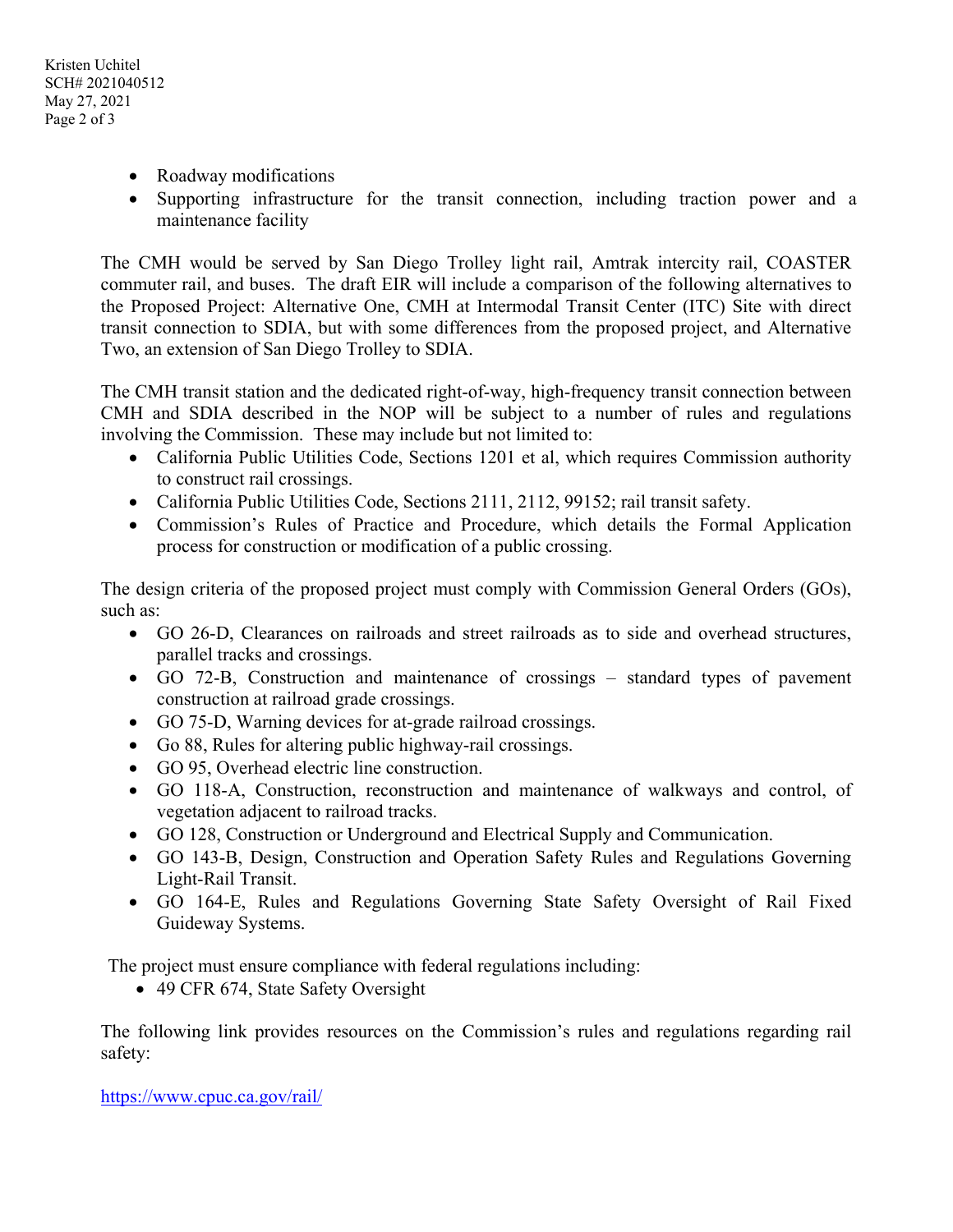Kristen Uchitel SCH# 2021040512 May 27, 2021 Page 2 of 3

- Roadway modifications
- Supporting infrastructure for the transit connection, including traction power and a maintenance facility

The CMH would be served by San Diego Trolley light rail, Amtrak intercity rail, COASTER commuter rail, and buses. The draft EIR will include a comparison of the following alternatives to the Proposed Project: Alternative One, CMH at Intermodal Transit Center (ITC) Site with direct transit connection to SDIA, but with some differences from the proposed project, and Alternative Two, an extension of San Diego Trolley to SDIA.

The CMH transit station and the dedicated right-of-way, high-frequency transit connection between CMH and SDIA described in the NOP will be subject to a number of rules and regulations involving the Commission. These may include but not limited to:

- California Public Utilities Code, Sections 1201 et al, which requires Commission authority to construct rail crossings.
- California Public Utilities Code, Sections 2111, 2112, 99152; rail transit safety.
- Commission's Rules of Practice and Procedure, which details the Formal Application process for construction or modification of a public crossing.

The design criteria of the proposed project must comply with Commission General Orders (GOs), such as:

- GO 26-D, Clearances on railroads and street railroads as to side and overhead structures, parallel tracks and crossings.
- GO 72-B, Construction and maintenance of crossings standard types of pavement construction at railroad grade crossings.
- GO 75-D, Warning devices for at-grade railroad crossings.
- Go 88, Rules for altering public highway-rail crossings.
- GO 95, Overhead electric line construction.
- GO 118-A, Construction, reconstruction and maintenance of walkways and control, of vegetation adjacent to railroad tracks.
- GO 128, Construction or Underground and Electrical Supply and Communication.
- GO 143-B, Design, Construction and Operation Safety Rules and Regulations Governing Light-Rail Transit.
- GO 164-E, Rules and Regulations Governing State Safety Oversight of Rail Fixed Guideway Systems.

The project must ensure compliance with federal regulations including:

• 49 CFR 674, State Safety Oversight

The following link provides resources on the Commission's rules and regulations regarding rail safety:

https://www.cpuc.ca.gov/rail/